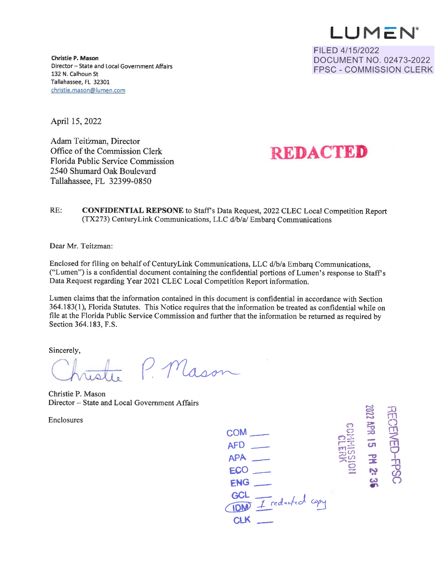**LU M C: N** 

FILED 4/15/2022 DOCUMENT NO. 02473-2022 FPSC - COMMISSION CLERK

**Christie P. Mason**  Director -- State and Local Government Affairs 132 **N.** Calhoun St Tallahassee, FL 32301 christie.mason@lumen.com

April 15, 2022

Adam Teitzman, Director Office of the Commission Clerk Florida Public Service Commission 2540 Shumard Oak Boulevard Tallahassee, FL 32399-0850



RE: **CONFIDENTIAL REPSONE** to Staff's Data Request, 2022 CLEC Local Competition Report (TX273) CenturyLink Communications, LLC d/b/a/ Embarq Communications

Dear Mr. Teitzman:

Enclosed for filing on behalf of Century Link Communications, LLC d/b/a Embarq Communications, ("Lumen") is a confidential document containing the confidential portions of Lumen's response to Staffs Data Request regarding Year 2021 CLEC Local Competition Report information.

Lumen claims that the information contained in this document is confidential in accordance with Section 364.183(1 ), Florida Statutes. This Notice requires that the information be treated as confidential while on file at the Florida Public Service Commission and further that the information be returned as required by Section 364.183, F.S.

Sincerely,

Section 364.183, F.S.<br>Sincerely,<br>Christie B Meson

Christie P. Mason Director - State and Local Government Affairs

Enclosures

**APR 15 PM 23 coM\_ AFD** - **APA** - **ECO-ENG\_**  GCL *IDM I* reducted copy **CLK**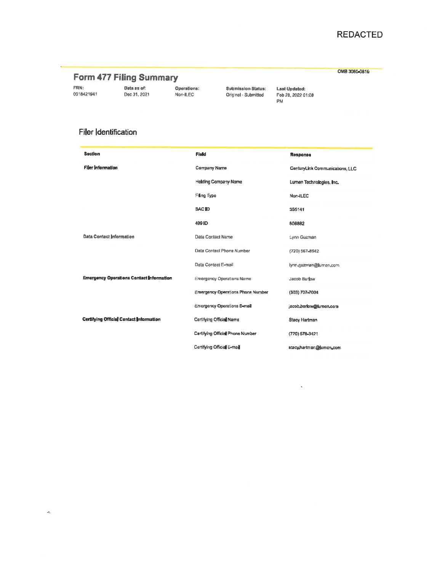## **REDACTED**

OM8 3060-0816

## Form 477 Filing Summary

FRN: 0018421941

Data as of: Dec 31, 2021

Operations:<br>Non-ILEC

**Submission Status:** Original - Submitted

**Last Updated:<br>Feb 28, 2022 01:08** PM

 $\ddot{\phantom{0}}$ 

## Filer Identification

| <b>Section</b>                                  | <b>Fleld</b>                             | Response                        |  |  |
|-------------------------------------------------|------------------------------------------|---------------------------------|--|--|
| <b>Filer Information</b>                        | Company Name                             | CenturyLink Communications, LLC |  |  |
|                                                 | Holding Company Name                     | Lumen Technologies, Inc.        |  |  |
|                                                 | Filing Type                              | Non-ILEC                        |  |  |
|                                                 | SAC ID                                   | 355141                          |  |  |
|                                                 | 499 ID                                   | 808882                          |  |  |
| Data Contact Information                        | Data Contact Name                        | Lynn Guzman                     |  |  |
|                                                 | Data Contact Phone Number                | (720) 567-8542                  |  |  |
|                                                 | Data Contact E-mail                      | lynn.guzman@lumen.com           |  |  |
| <b>Emergency Operations Contact Information</b> | <b>Emergency Operations Name</b>         | Jacob Barlow                    |  |  |
|                                                 | <b>Emergency Operations Phone Number</b> | (303) 707-7004                  |  |  |
|                                                 | Emergency Operations E-mail              | jacob.barlow@lumen.com          |  |  |
| Certifying Offisial Contact Information         | Certifying Official Name                 | Stacy Hartman                   |  |  |
|                                                 | Certifying Official Phone Number         | (720) 578-3421                  |  |  |
|                                                 | Certifying Official E-mail               | stacy,hartman@jumen.com         |  |  |

 $\partial \xi$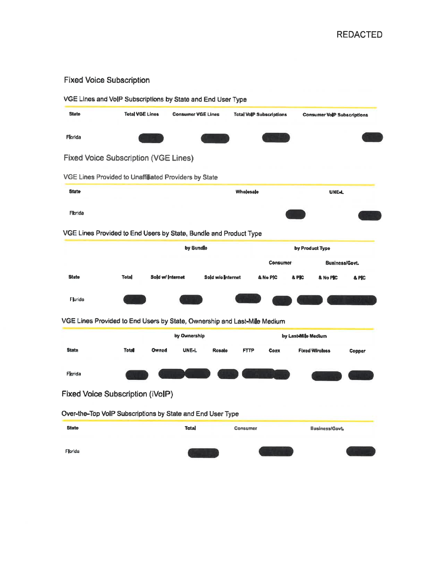## **Fixed Voice Subscription**

|              | VGE Lines and VoIP Subscriptions by State and End User Type              |                           |                   |                                  |                   |                                    |                       |  |  |
|--------------|--------------------------------------------------------------------------|---------------------------|-------------------|----------------------------------|-------------------|------------------------------------|-----------------------|--|--|
| <b>State</b> | <b>Total VGE Lines</b>                                                   | <b>Consumer VGE Lines</b> |                   | <b>Total VollP Subscriptions</b> |                   | <b>Consumer VolP Subscriptions</b> |                       |  |  |
| Florida      |                                                                          |                           |                   |                                  |                   |                                    |                       |  |  |
|              | <b>Fixed Voice Subscription (VGE Lines)</b>                              |                           |                   |                                  |                   |                                    |                       |  |  |
|              | VGE Lines Provided to Unaffiliated Providers by State                    |                           |                   |                                  |                   |                                    |                       |  |  |
| <b>State</b> |                                                                          | Wholesale                 |                   |                                  | <b>UNE-L</b>      |                                    |                       |  |  |
| Florida      |                                                                          |                           |                   |                                  |                   |                                    |                       |  |  |
|              | VGE Lines Provided to End Users by State, Bundle and Product Type        |                           |                   |                                  |                   |                                    |                       |  |  |
|              |                                                                          | by Bundle                 |                   |                                  | by Product Type   |                                    |                       |  |  |
|              |                                                                          |                           |                   |                                  | Consumer          |                                    | <b>Business/Govt.</b> |  |  |
| <b>State</b> | Total                                                                    | Sold w/ Internet          | Sold w/olinternet |                                  | & No PIC<br>& PIC | & No PIC                           | & PIC                 |  |  |
| Florida      |                                                                          |                           |                   |                                  |                   |                                    |                       |  |  |
|              | VGE Lines Provided to End Users by State, Ownership and Last-Mile Medium |                           |                   |                                  |                   |                                    |                       |  |  |
|              |                                                                          |                           | by Ownership      |                                  |                   | by Last-Mile Medium                |                       |  |  |
| <b>State</b> | <b>Total</b>                                                             | Owned<br><b>UNE-L</b>     | Rosale            | <b>FTTP</b>                      | Coax              | <b>Fixed Wireless</b>              | Copper                |  |  |
| Florida      |                                                                          |                           |                   |                                  |                   |                                    |                       |  |  |
|              | Fixed Voice Subscription (iVoIP)                                         |                           |                   |                                  |                   |                                    |                       |  |  |
|              | Over-the-Top VoIP Subscriptions by State and End User Type               |                           |                   |                                  |                   |                                    |                       |  |  |
| <b>State</b> |                                                                          | <b>Total</b>              |                   | Consumer                         |                   | <b>Business/Govt.</b>              |                       |  |  |
|              |                                                                          |                           |                   |                                  |                   |                                    |                       |  |  |
| Florida      |                                                                          |                           |                   |                                  |                   |                                    |                       |  |  |